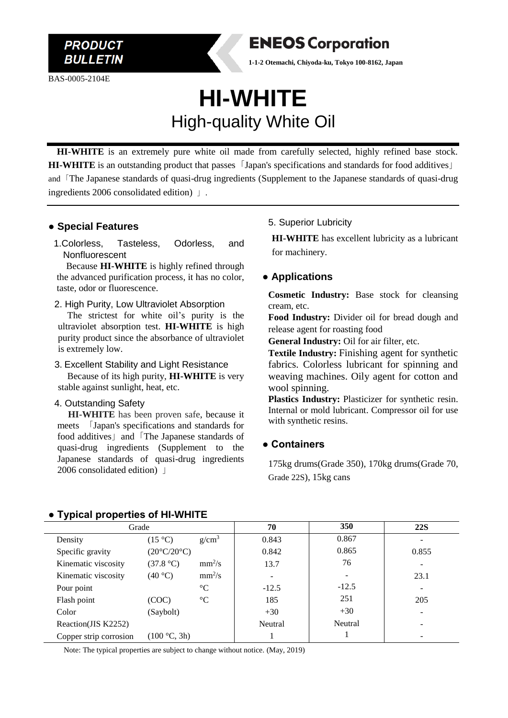BAS-0005-2104E

### **ENEOS Corporation**

**1-1-2 Otemachi, Chiyoda-ku, Tokyo 100-8162, Japan**

## **HI-WHITE** High-quality White Oil

 **HI-WHITE** is an extremely pure white oil made from carefully selected, highly refined base stock. **HI-WHITE** is an outstanding product that passes「Japan's specifications and standards for food additives」 and「The Japanese standards of quasi-drug ingredients (Supplement to the Japanese standards of quasi-drug ingredients 2006 consolidated edition) 」.

#### **● Special Features**

1.Colorless, Tasteless, Odorless, and Nonfluorescent

Because **HI-WHITE** is highly refined through the advanced purification process, it has no color, taste, odor or fluorescence.

#### 2. High Purity, Low Ultraviolet Absorption

The strictest for white oil's purity is the ultraviolet absorption test. **HI-WHITE** is high purity product since the absorbance of ultraviolet is extremely low.

#### 3. Excellent Stability and Light Resistance Because of its high purity, **HI-WHITE** is very stable against sunlight, heat, etc.

#### 4. Outstanding Safety

**HI-WHITE** has been proven safe, because it meets 「Japan's specifications and standards for food additives」 and 「The Japanese standards of quasi-drug ingredients (Supplement to the Japanese standards of quasi-drug ingredients 2006 consolidated edition) 」

#### 5. Superior Lubricity

**HI-WHITE** has excellent lubricity as a lubricant for machinery.

#### ● **Applications**

**Cosmetic Industry:** Base stock for cleansing cream, etc.

**Food Industry:** Divider oil for bread dough and release agent for roasting food

**General Industry:** Oil for air filter, etc.

**Textile Industry:** Finishing agent for synthetic fabrics. Colorless lubricant for spinning and weaving machines. Oily agent for cotton and wool spinning.

**Plastics Industry:** Plasticizer for synthetic resin. Internal or mold lubricant. Compressor oil for use with synthetic resins.

#### **● Containers**

175kg drums(Grade 350), 170kg drums(Grade 70, Grade 22S), 15kg cans

| .                      |                             |                 |         |                          |            |
|------------------------|-----------------------------|-----------------|---------|--------------------------|------------|
| Grade                  |                             |                 | 70      | 350                      | <b>22S</b> |
| Density                | $(15 \degree C)$            | $g/cm^3$        | 0.843   | 0.867                    |            |
| Specific gravity       | $(20^{\circ}C/20^{\circ}C)$ |                 | 0.842   | 0.865                    | 0.855      |
| Kinematic viscosity    | (37.8 °C)                   | $mm^2/s$        | 13.7    | 76                       |            |
| Kinematic viscosity    | (40 °C)                     | $mm^2/s$        |         | $\overline{\phantom{a}}$ | 23.1       |
| Pour point             |                             | $\rm ^{\circ}C$ | $-12.5$ | $-12.5$                  |            |
| Flash point            | (COC)                       | $\rm ^{\circ}C$ | 185     | 251                      | 205        |
| Color                  | (Saybolt)                   |                 | $+30$   | $+30$                    |            |
| Reaction(JIS K2252)    |                             |                 | Neutral | Neutral                  |            |
| Copper strip corrosion | (100 °C, 3h)                |                 |         |                          |            |

#### **● Typical properties of HI-WHITE**

Note: The typical properties are subject to change without notice. (May, 2019)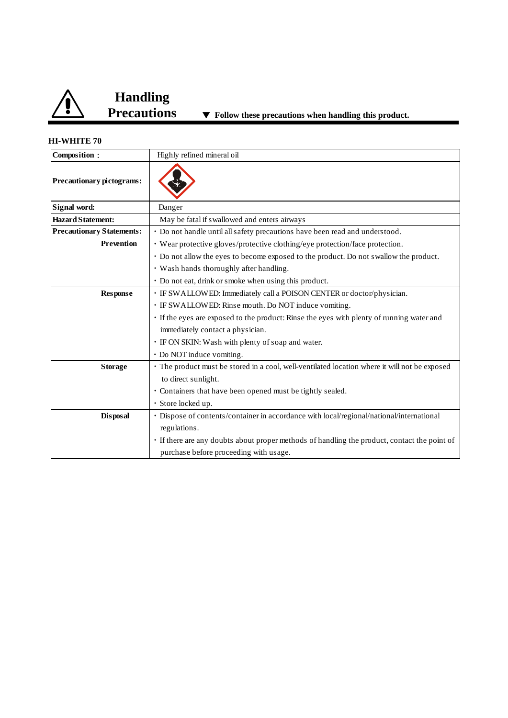

# **Handling**

▼ Follow these precautions when handling this product.

#### **HI-WHITE 70**

| Composition:                     | Highly refined mineral oil                                                                    |  |  |
|----------------------------------|-----------------------------------------------------------------------------------------------|--|--|
| Precautionary pictograms:        |                                                                                               |  |  |
| Signal word:                     | Danger                                                                                        |  |  |
| <b>Hazard Statement:</b>         | May be fatal if swallowed and enters airways                                                  |  |  |
| <b>Precautionary Statements:</b> | • Do not handle until all safety precautions have been read and understood.                   |  |  |
| <b>Prevention</b>                | • Wear protective gloves/protective clothing/eye protection/face protection.                  |  |  |
|                                  | • Do not allow the eyes to become exposed to the product. Do not swallow the product.         |  |  |
|                                  | • Wash hands thoroughly after handling.                                                       |  |  |
|                                  | • Do not eat, drink or smoke when using this product.                                         |  |  |
| <b>Response</b>                  | · IF SWALLOWED: Immediately call a POISON CENTER or doctor/physician.                         |  |  |
|                                  | · IF SWALLOWED: Rinse mouth. Do NOT induce vomiting.                                          |  |  |
|                                  | · If the eyes are exposed to the product: Rinse the eyes with plenty of running water and     |  |  |
|                                  | immediately contact a physician.                                                              |  |  |
|                                  | · IF ON SKIN: Wash with plenty of soap and water.                                             |  |  |
|                                  | • Do NOT induce vomiting.                                                                     |  |  |
| <b>Storage</b>                   | · The product must be stored in a cool, well-ventilated location where it will not be exposed |  |  |
|                                  | to direct sunlight.                                                                           |  |  |
|                                  | • Containers that have been opened must be tightly sealed.                                    |  |  |
|                                  | · Store locked up.                                                                            |  |  |
| Disposal                         | • Dispose of contents/container in accordance with local/regional/national/international      |  |  |
|                                  | regulations.                                                                                  |  |  |
|                                  | · If there are any doubts about proper methods of handling the product, contact the point of  |  |  |
|                                  | purchase before proceeding with usage.                                                        |  |  |